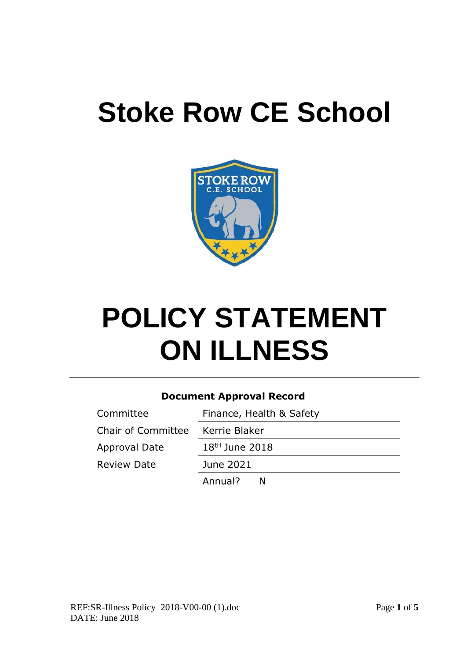# **Stoke Row CE School**



# **POLICY STATEMENT ON ILLNESS**

#### **Document Approval Record**

| Committee                 | Finance, Health & Safety   |
|---------------------------|----------------------------|
| <b>Chair of Committee</b> | Kerrie Blaker              |
| Approval Date             | 18 <sup>tH</sup> June 2018 |
| <b>Review Date</b>        | June 2021                  |
|                           | Annual?<br>N               |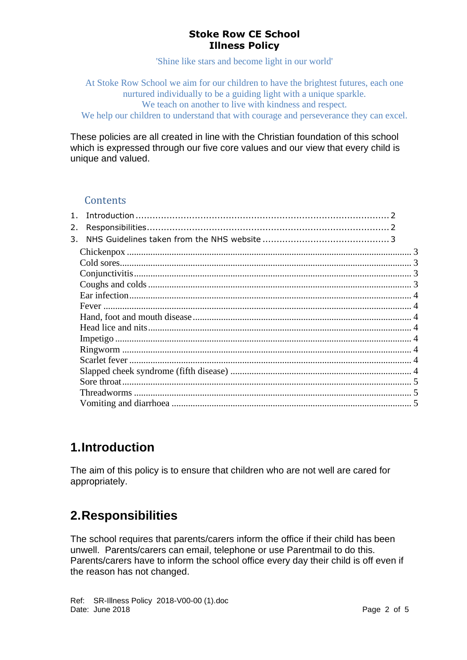#### **Stoke Row CE School Illness Policy**

'Shine like stars and become light in our world'

At Stoke Row School we aim for our children to have the brightest futures, each one nurtured individually to be a guiding light with a unique sparkle. We teach on another to live with kindness and respect.

We help our children to understand that with courage and perseverance they can excel.

These policies are all created in line with the Christian foundation of this school which is expressed through our five core values and our view that every child is unique and valued.

#### **Contents**

| 2. |  |
|----|--|
| 3. |  |
|    |  |
|    |  |
|    |  |
|    |  |
|    |  |
|    |  |
|    |  |
|    |  |
|    |  |
|    |  |
|    |  |
|    |  |
|    |  |
|    |  |
|    |  |

# <span id="page-1-0"></span>**1.Introduction**

The aim of this policy is to ensure that children who are not well are cared for appropriately.

# <span id="page-1-1"></span>**2.Responsibilities**

The school requires that parents/carers inform the office if their child has been unwell. Parents/carers can email, telephone or use Parentmail to do this. Parents/carers have to inform the school office every day their child is off even if the reason has not changed.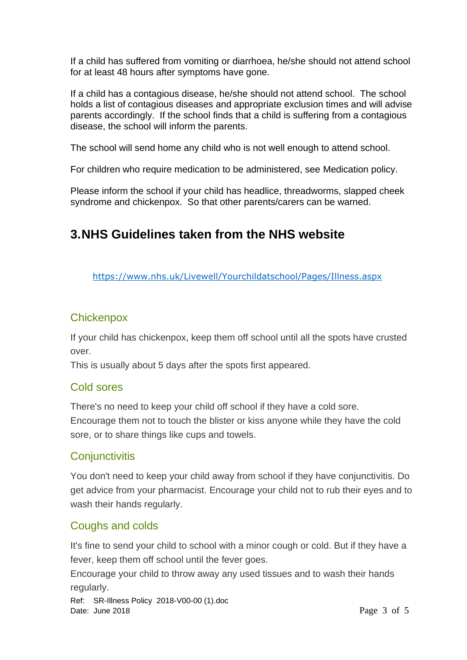If a child has suffered from vomiting or diarrhoea, he/she should not attend school for at least 48 hours after symptoms have gone.

If a child has a contagious disease, he/she should not attend school. The school holds a list of contagious diseases and appropriate exclusion times and will advise parents accordingly. If the school finds that a child is suffering from a contagious disease, the school will inform the parents.

The school will send home any child who is not well enough to attend school.

For children who require medication to be administered, see Medication policy.

Please inform the school if your child has headlice, threadworms, slapped cheek syndrome and chickenpox. So that other parents/carers can be warned.

# <span id="page-2-0"></span>**3.NHS Guidelines taken from the NHS website**

<https://www.nhs.uk/Livewell/Yourchildatschool/Pages/Illness.aspx>

## <span id="page-2-1"></span>**Chickenpox**

If your child has chickenpox, keep them off school until all the spots have crusted over.

<span id="page-2-2"></span>This is usually about 5 days after the spots first appeared.

## Cold sores

There's no need to keep your child off school if they have a cold sore. Encourage them not to touch the blister or kiss anyone while they have the cold sore, or to share things like cups and towels.

## <span id="page-2-3"></span>**Conjunctivitis**

You don't need to keep your child away from school if they have conjunctivitis. Do get advice from your pharmacist. Encourage your child not to rub their eyes and to wash their hands regularly.

## <span id="page-2-4"></span>Coughs and colds

It's fine to send your child to school with a minor cough or cold. But if they have a fever, keep them off school until the fever goes.

Encourage your child to throw away any used tissues and to wash their hands regularly.

Ref: SR-Illness Policy 2018-V00-00 (1).doc Date: June 2018 **Page 3 of 5**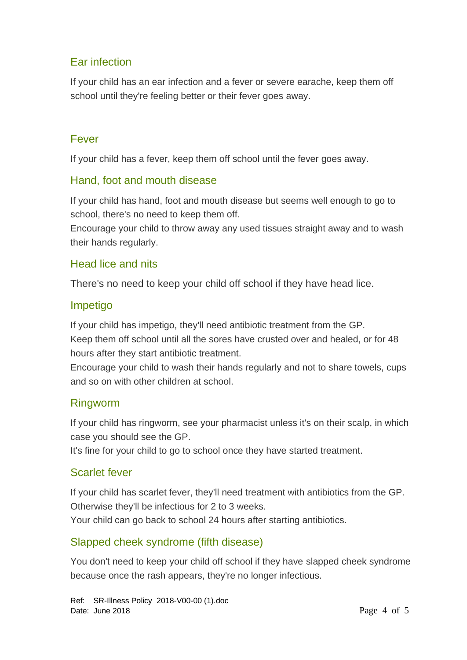# <span id="page-3-0"></span>Ear infection

If your child has an ear infection and a fever or severe earache, keep them off school until they're feeling better or their fever goes away.

## <span id="page-3-1"></span>Fever

If your child has a fever, keep them off school until the fever goes away.

# <span id="page-3-2"></span>Hand, foot and mouth disease

If your child has hand, foot and mouth disease but seems well enough to go to school, there's no need to keep them off.

Encourage your child to throw away any used tissues straight away and to wash their hands regularly.

## <span id="page-3-3"></span>Head lice and nits

There's no need to keep your child off school if they have head lice.

# <span id="page-3-4"></span>Impetigo

If your child has impetigo, they'll need antibiotic treatment from the GP. Keep them off school until all the sores have crusted over and healed, or for 48 hours after they start antibiotic treatment.

Encourage your child to wash their hands regularly and not to share towels, cups and so on with other children at school.

## <span id="page-3-5"></span>Ringworm

If your child has ringworm, see your pharmacist unless it's on their scalp, in which case you should see the GP.

It's fine for your child to go to school once they have started treatment.

# <span id="page-3-6"></span>Scarlet fever

If your child has scarlet fever, they'll need treatment with antibiotics from the GP. Otherwise they'll be infectious for 2 to 3 weeks.

Your child can go back to school 24 hours after starting antibiotics.

# <span id="page-3-7"></span>Slapped cheek syndrome (fifth disease)

You don't need to keep your child off school if they have slapped cheek syndrome because once the rash appears, they're no longer infectious.

Ref: SR-Illness Policy 2018-V00-00 (1).doc Date: June 2018 **Page 4 of 5**